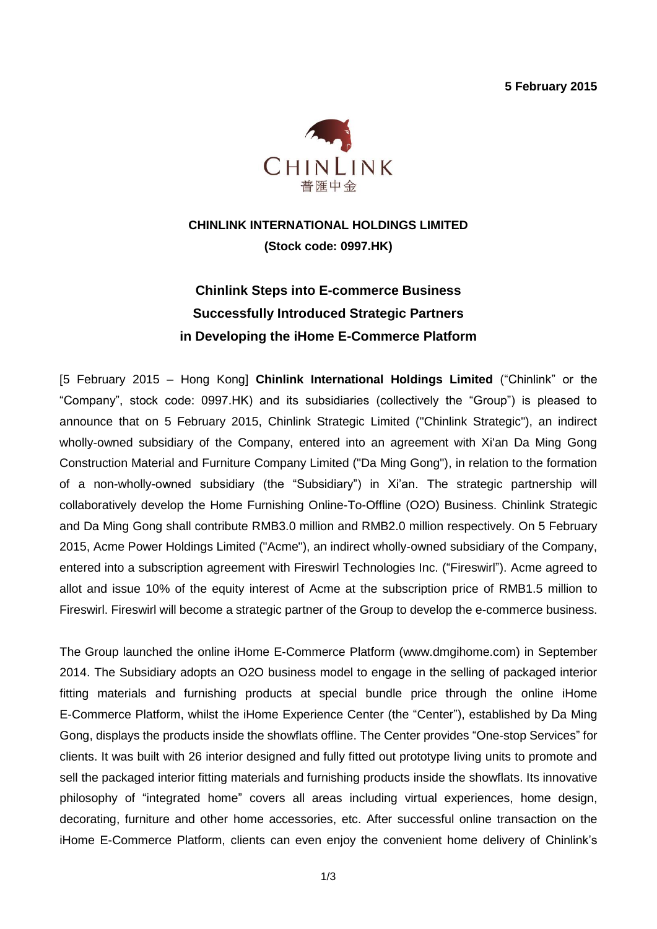**5 February 2015**



# **CHINLINK INTERNATIONAL HOLDINGS LIMITED (Stock code: 0997.HK)**

# **Chinlink Steps into E-commerce Business Successfully Introduced Strategic Partners in Developing the iHome E-Commerce Platform**

[5 February 2015 – Hong Kong] **Chinlink International Holdings Limited** ("Chinlink" or the "Company", stock code: 0997.HK) and its subsidiaries (collectively the "Group") is pleased to announce that on 5 February 2015, Chinlink Strategic Limited ("Chinlink Strategic"), an indirect wholly-owned subsidiary of the Company, entered into an agreement with Xi'an Da Ming Gong Construction Material and Furniture Company Limited ("Da Ming Gong"), in relation to the formation of a non-wholly-owned subsidiary (the "Subsidiary") in Xi'an. The strategic partnership will collaboratively develop the Home Furnishing Online-To-Offline (O2O) Business. Chinlink Strategic and Da Ming Gong shall contribute RMB3.0 million and RMB2.0 million respectively. On 5 February 2015, Acme Power Holdings Limited ("Acme"), an indirect wholly-owned subsidiary of the Company, entered into a subscription agreement with Fireswirl Technologies Inc. ("Fireswirl"). Acme agreed to allot and issue 10% of the equity interest of Acme at the subscription price of RMB1.5 million to Fireswirl. Fireswirl will become a strategic partner of the Group to develop the e-commerce business.

The Group launched the online iHome E-Commerce Platform [\(www.dmgihome.com\)](http://www.dmgihome.com/) in September 2014. The Subsidiary adopts an O2O business model to engage in the selling of packaged interior fitting materials and furnishing products at special bundle price through the online iHome E-Commerce Platform, whilst the iHome Experience Center (the "Center"), established by Da Ming Gong, displays the products inside the showflats offline. The Center provides "One-stop Services" for clients. It was built with 26 interior designed and fully fitted out prototype living units to promote and sell the packaged interior fitting materials and furnishing products inside the showflats. Its innovative philosophy of "integrated home" covers all areas including virtual experiences, home design, decorating, furniture and other home accessories, etc. After successful online transaction on the iHome E-Commerce Platform, clients can even enjoy the convenient home delivery of Chinlink's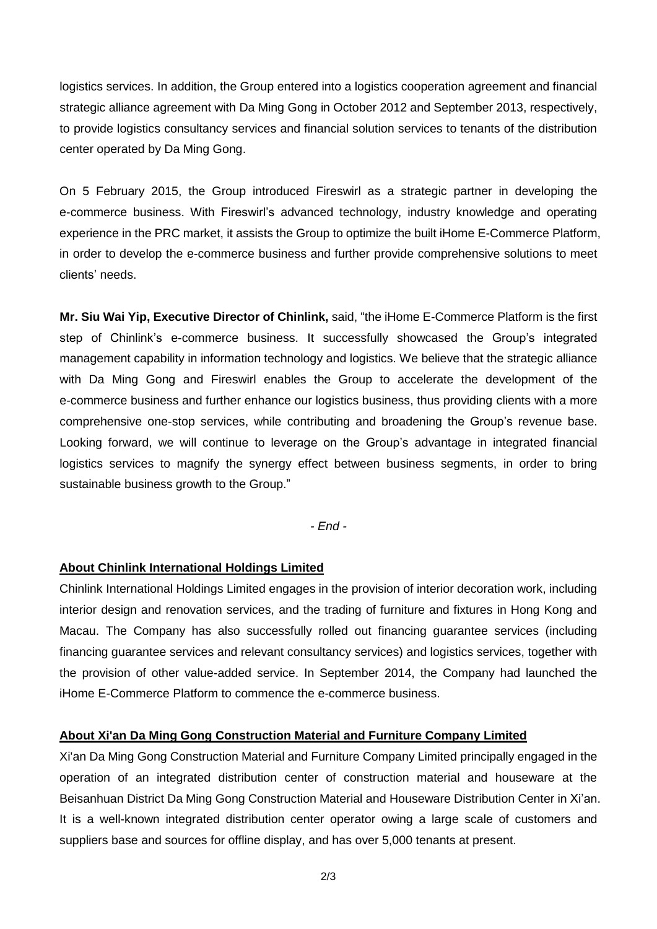logistics services. In addition, the Group entered into a logistics cooperation agreement and financial strategic alliance agreement with Da Ming Gong in October 2012 and September 2013, respectively, to provide logistics consultancy services and financial solution services to tenants of the distribution center operated by Da Ming Gong.

On 5 February 2015, the Group introduced Fireswirl as a strategic partner in developing the e-commerce business. With Fireswirl's advanced technology, industry knowledge and operating experience in the PRC market, it assists the Group to optimize the built iHome E-Commerce Platform, in order to develop the e-commerce business and further provide comprehensive solutions to meet clients' needs.

**Mr. Siu Wai Yip, Executive Director of Chinlink,** said, "the iHome E-Commerce Platform is the first step of Chinlink's e-commerce business. It successfully showcased the Group's integrated management capability in information technology and logistics. We believe that the strategic alliance with Da Ming Gong and Fireswirl enables the Group to accelerate the development of the e-commerce business and further enhance our logistics business, thus providing clients with a more comprehensive one-stop services, while contributing and broadening the Group's revenue base. Looking forward, we will continue to leverage on the Group's advantage in integrated financial logistics services to magnify the synergy effect between business segments, in order to bring sustainable business growth to the Group."

*- End -*

#### **About Chinlink International Holdings Limited**

Chinlink International Holdings Limited engages in the provision of interior decoration work, including interior design and renovation services, and the trading of furniture and fixtures in Hong Kong and Macau. The Company has also successfully rolled out financing guarantee services (including financing guarantee services and relevant consultancy services) and logistics services, together with the provision of other value-added service. In September 2014, the Company had launched the iHome E-Commerce Platform to commence the e-commerce business.

#### **About Xi'an Da Ming Gong Construction Material and Furniture Company Limited**

Xi'an Da Ming Gong Construction Material and Furniture Company Limited principally engaged in the operation of an integrated distribution center of construction material and houseware at the Beisanhuan District Da Ming Gong Construction Material and Houseware Distribution Center in Xi'an. It is a well-known integrated distribution center operator owing a large scale of customers and suppliers base and sources for offline display, and has over 5,000 tenants at present.